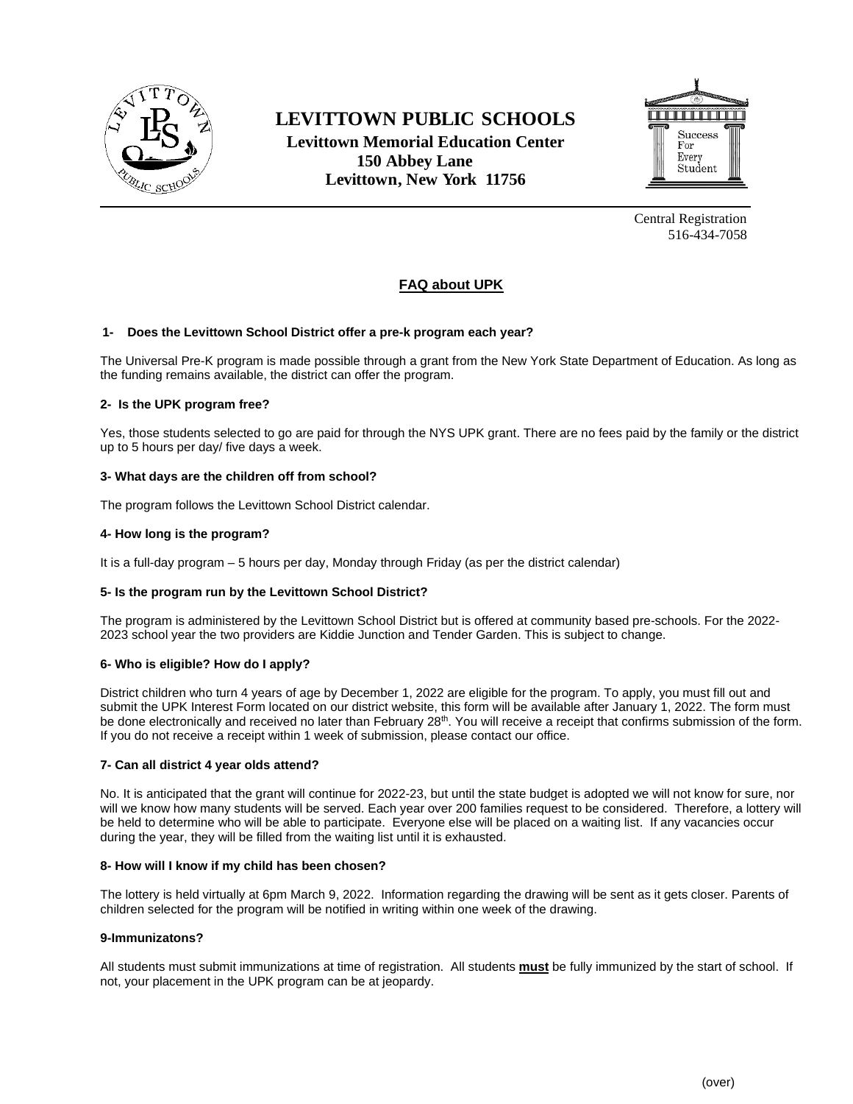

# **LEVITTOWN PUBLIC SCHOOLS Levittown Memorial Education Center 150 Abbey Lane Levittown, New York 11756**



Central Registration 516-434-7058

# **FAQ about UPK**

# **1- Does the Levittown School District offer a pre-k program each year?**

The Universal Pre-K program is made possible through a grant from the New York State Department of Education. As long as the funding remains available, the district can offer the program.

# **2- Is the UPK program free?**

Yes, those students selected to go are paid for through the NYS UPK grant. There are no fees paid by the family or the district up to 5 hours per day/ five days a week.

# **3- What days are the children off from school?**

The program follows the Levittown School District calendar.

# **4- How long is the program?**

It is a full-day program – 5 hours per day, Monday through Friday (as per the district calendar)

# **5- Is the program run by the Levittown School District?**

The program is administered by the Levittown School District but is offered at community based pre-schools. For the 2022- 2023 school year the two providers are Kiddie Junction and Tender Garden. This is subject to change.

# **6- Who is eligible? How do I apply?**

District children who turn 4 years of age by December 1, 2022 are eligible for the program. To apply, you must fill out and submit the UPK Interest Form located on our district website, this form will be available after January 1, 2022. The form must be done electronically and received no later than February 28<sup>th</sup>. You will receive a receipt that confirms submission of the form. If you do not receive a receipt within 1 week of submission, please contact our office.

# **7- Can all district 4 year olds attend?**

No. It is anticipated that the grant will continue for 2022-23, but until the state budget is adopted we will not know for sure, nor will we know how many students will be served. Each year over 200 families request to be considered. Therefore, a lottery will be held to determine who will be able to participate. Everyone else will be placed on a waiting list. If any vacancies occur during the year, they will be filled from the waiting list until it is exhausted.

# **8- How will I know if my child has been chosen?**

The lottery is held virtually at 6pm March 9, 2022. Information regarding the drawing will be sent as it gets closer. Parents of children selected for the program will be notified in writing within one week of the drawing.

# **9-Immunizatons?**

All students must submit immunizations at time of registration. All students **must** be fully immunized by the start of school. If not, your placement in the UPK program can be at jeopardy.